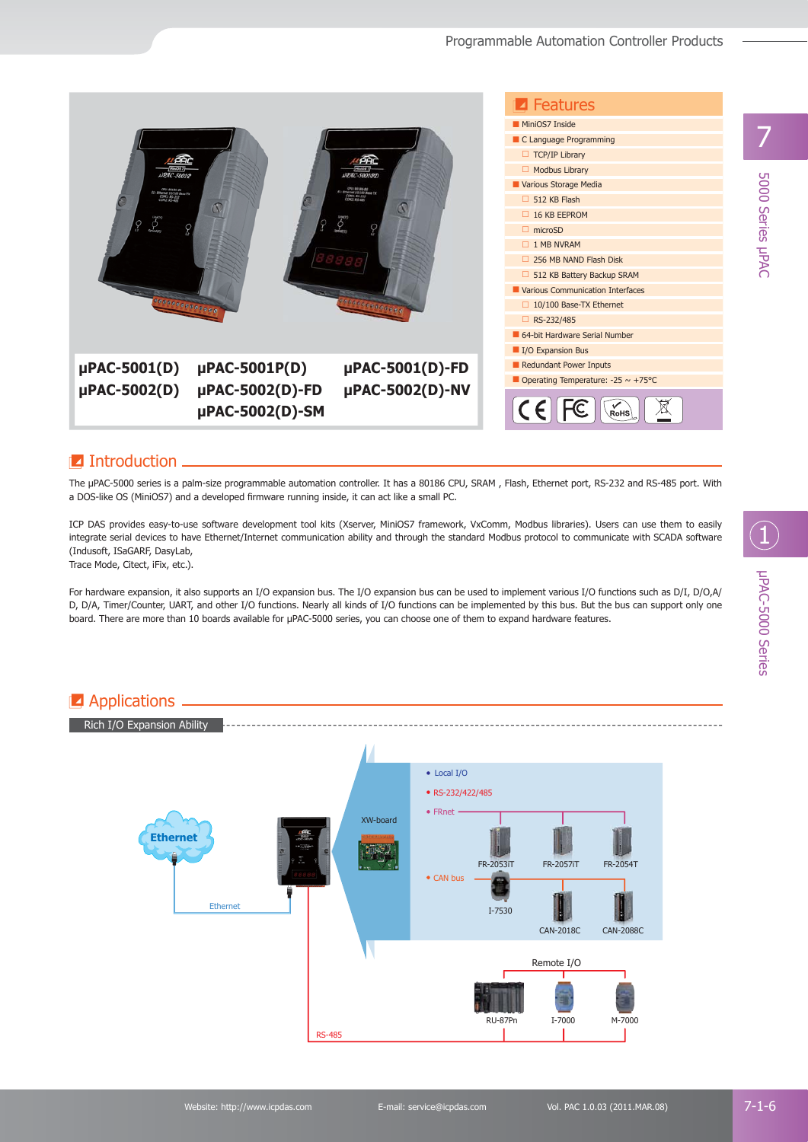

## $\blacksquare$  Introduction.

The μPAC-5000 series is a palm-size programmable automation controller. It has a 80186 CPU, SRAM , Flash, Ethernet port, RS-232 and RS-485 port. With a DOS-like OS (MiniOS7) and a developed firmware running inside, it can act like a small PC.

ICP DAS provides easy-to-use software development tool kits (Xserver, MiniOS7 framework, VxComm, Modbus libraries). Users can use them to easily integrate serial devices to have Ethernet/Internet communication ability and through the standard Modbus protocol to communicate with SCADA software (Indusoft, ISaGARF, DasyLab,

Trace Mode, Citect, iFix, etc.).

For hardware expansion, it also supports an I/O expansion bus. The I/O expansion bus can be used to implement various I/O functions such as D/I, D/O,A/ D, D/A, Timer/Counter, UART, and other I/O functions. Nearly all kinds of I/O functions can be implemented by this bus. But the bus can support only one board. There are more than 10 boards available for μPAC-5000 series, you can choose one of them to expand hardware features.



μPAC